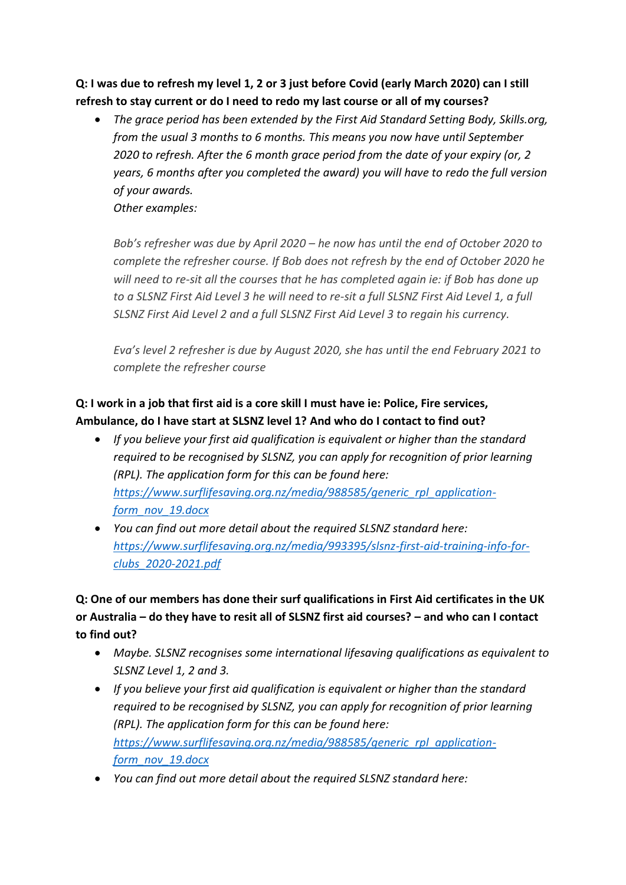**Q: I was due to refresh my level 1, 2 or 3 just before Covid (early March 2020) can I still refresh to stay current or do I need to redo my last course or all of my courses?**

 *The grace period has been extended by the First Aid Standard Setting Body, Skills.org, from the usual 3 months to 6 months. This means you now have until September 2020 to refresh. After the 6 month grace period from the date of your expiry (or, 2 years, 6 months after you completed the award) you will have to redo the full version of your awards. Other examples:*

*Bob's refresher was due by April 2020 – he now has until the end of October 2020 to complete the refresher course. If Bob does not refresh by the end of October 2020 he will need to re-sit all the courses that he has completed again ie: if Bob has done up to a SLSNZ First Aid Level 3 he will need to re-sit a full SLSNZ First Aid Level 1, a full SLSNZ First Aid Level 2 and a full SLSNZ First Aid Level 3 to regain his currency.*

*Eva's level 2 refresher is due by August 2020, she has until the end February 2021 to complete the refresher course*

# **Q: I work in a job that first aid is a core skill I must have ie: Police, Fire services, Ambulance, do I have start at SLSNZ level 1? And who do I contact to find out?**

- *If you believe your first aid qualification is equivalent or higher than the standard required to be recognised by SLSNZ, you can apply for recognition of prior learning (RPL). The application form for this can be found here: [https://www.surflifesaving.org.nz/media/988585/generic\\_rpl\\_application](https://www.surflifesaving.org.nz/media/988585/generic_rpl_application-form_nov_19.docx)[form\\_nov\\_19.docx](https://www.surflifesaving.org.nz/media/988585/generic_rpl_application-form_nov_19.docx)*
- *You can find out more detail about the required SLSNZ standard here: [https://www.surflifesaving.org.nz/media/993395/slsnz-first-aid-training-info-for](https://www.surflifesaving.org.nz/media/993395/slsnz-first-aid-training-info-for-clubs_2020-2021.pdf)[clubs\\_2020-2021.pdf](https://www.surflifesaving.org.nz/media/993395/slsnz-first-aid-training-info-for-clubs_2020-2021.pdf)*

**Q: One of our members has done their surf qualifications in First Aid certificates in the UK or Australia – do they have to resit all of SLSNZ first aid courses? – and who can I contact to find out?**

- *Maybe. SLSNZ recognises some international lifesaving qualifications as equivalent to SLSNZ Level 1, 2 and 3.*
- *If you believe your first aid qualification is equivalent or higher than the standard required to be recognised by SLSNZ, you can apply for recognition of prior learning (RPL). The application form for this can be found here: [https://www.surflifesaving.org.nz/media/988585/generic\\_rpl\\_application](https://www.surflifesaving.org.nz/media/988585/generic_rpl_application-form_nov_19.docx)[form\\_nov\\_19.docx](https://www.surflifesaving.org.nz/media/988585/generic_rpl_application-form_nov_19.docx)*
- *You can find out more detail about the required SLSNZ standard here:*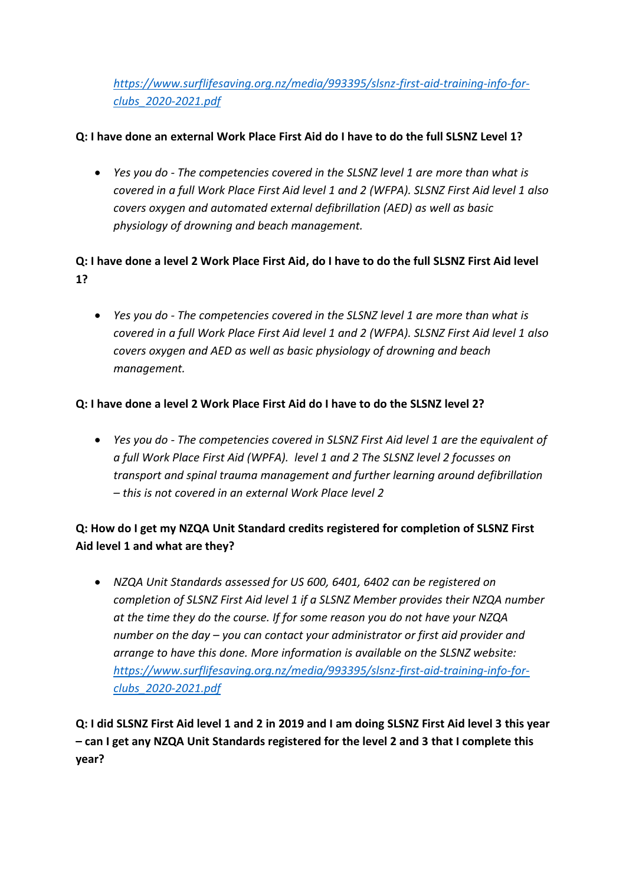*[https://www.surflifesaving.org.nz/media/993395/slsnz-first-aid-training-info-for](https://www.surflifesaving.org.nz/media/993395/slsnz-first-aid-training-info-for-clubs_2020-2021.pdf)[clubs\\_2020-2021.pdf](https://www.surflifesaving.org.nz/media/993395/slsnz-first-aid-training-info-for-clubs_2020-2021.pdf)*

### **Q: I have done an external Work Place First Aid do I have to do the full SLSNZ Level 1?**

 *Yes you do - The competencies covered in the SLSNZ level 1 are more than what is covered in a full Work Place First Aid level 1 and 2 (WFPA). SLSNZ First Aid level 1 also covers oxygen and automated external defibrillation (AED) as well as basic physiology of drowning and beach management.*

## **Q: I have done a level 2 Work Place First Aid, do I have to do the full SLSNZ First Aid level 1?**

 *Yes you do - The competencies covered in the SLSNZ level 1 are more than what is covered in a full Work Place First Aid level 1 and 2 (WFPA). SLSNZ First Aid level 1 also covers oxygen and AED as well as basic physiology of drowning and beach management.*

### **Q: I have done a level 2 Work Place First Aid do I have to do the SLSNZ level 2?**

 *Yes you do - The competencies covered in SLSNZ First Aid level 1 are the equivalent of a full Work Place First Aid (WPFA). level 1 and 2 The SLSNZ level 2 focusses on transport and spinal trauma management and further learning around defibrillation – this is not covered in an external Work Place level 2*

# **Q: How do I get my NZQA Unit Standard credits registered for completion of SLSNZ First Aid level 1 and what are they?**

 *NZQA Unit Standards assessed for US 600, 6401, 6402 can be registered on completion of SLSNZ First Aid level 1 if a SLSNZ Member provides their NZQA number at the time they do the course. If for some reason you do not have your NZQA number on the day – you can contact your administrator or first aid provider and arrange to have this done. More information is available on the SLSNZ website: [https://www.surflifesaving.org.nz/media/993395/slsnz-first-aid-training-info-for](https://www.surflifesaving.org.nz/media/993395/slsnz-first-aid-training-info-for-clubs_2020-2021.pdf)[clubs\\_2020-2021.pdf](https://www.surflifesaving.org.nz/media/993395/slsnz-first-aid-training-info-for-clubs_2020-2021.pdf)*

**Q: I did SLSNZ First Aid level 1 and 2 in 2019 and I am doing SLSNZ First Aid level 3 this year – can I get any NZQA Unit Standards registered for the level 2 and 3 that I complete this year?**